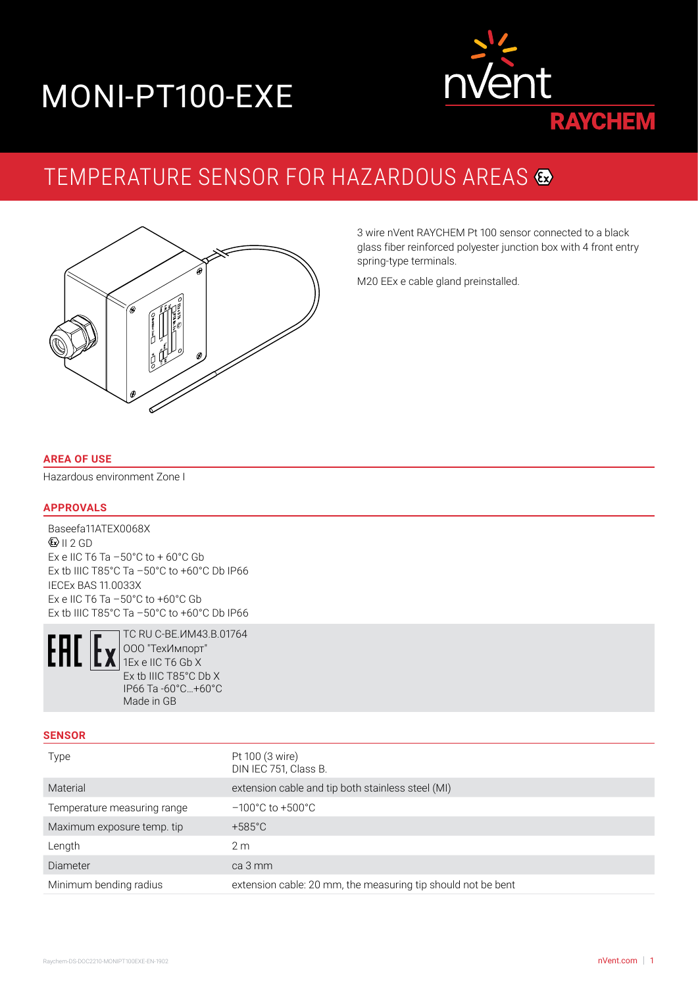# MONI-PT100-EXE



# TEMPERATURE SENSOR FOR HAZARDOUS AREAS



3 wire nVent RAYCHEM Pt 100 sensor connected to a black glass fiber reinforced polyester junction box with 4 front entry spring-type terminals.

M20 EEx e cable gland preinstalled.

#### **AREA OF USE**

Hazardous environment Zone I

#### **APPROVALS**

Baseefa11ATEX0068X  $\bigcirc$  II 2 GD Ex e IIC T6 Ta  $-50^{\circ}$ C to + 60 $^{\circ}$ C Gb Ex tb IIIC T85°C Ta –50°C to +60°C Db IP66 IECEx BAS 11.0033X Ex e IIC T6 Ta –50°C to +60°C Gb Ex tb IIIC T85°C Ta –50°C to +60°C Db IP66

EH

TC RU С-ВЕ.ИМ43.В.01764 ООО "ТехИмпорт" 1Ex e IIC T6 Gb X Ex tb IIIC T85°C Db X IP66 Ta -60°C…+60°C Made in GB

#### **SENSOR**

| Type                        | Pt 100 (3 wire)<br>DIN IEC 751, Class B.                     |
|-----------------------------|--------------------------------------------------------------|
| Material                    | extension cable and tip both stainless steel (MI)            |
| Temperature measuring range | $-100^{\circ}$ C to +500 $^{\circ}$ C                        |
| Maximum exposure temp. tip  | $+585^{\circ}$ C                                             |
| Length                      | 2 <sub>m</sub>                                               |
| Diameter                    | ca 3 mm                                                      |
| Minimum bending radius      | extension cable: 20 mm, the measuring tip should not be bent |